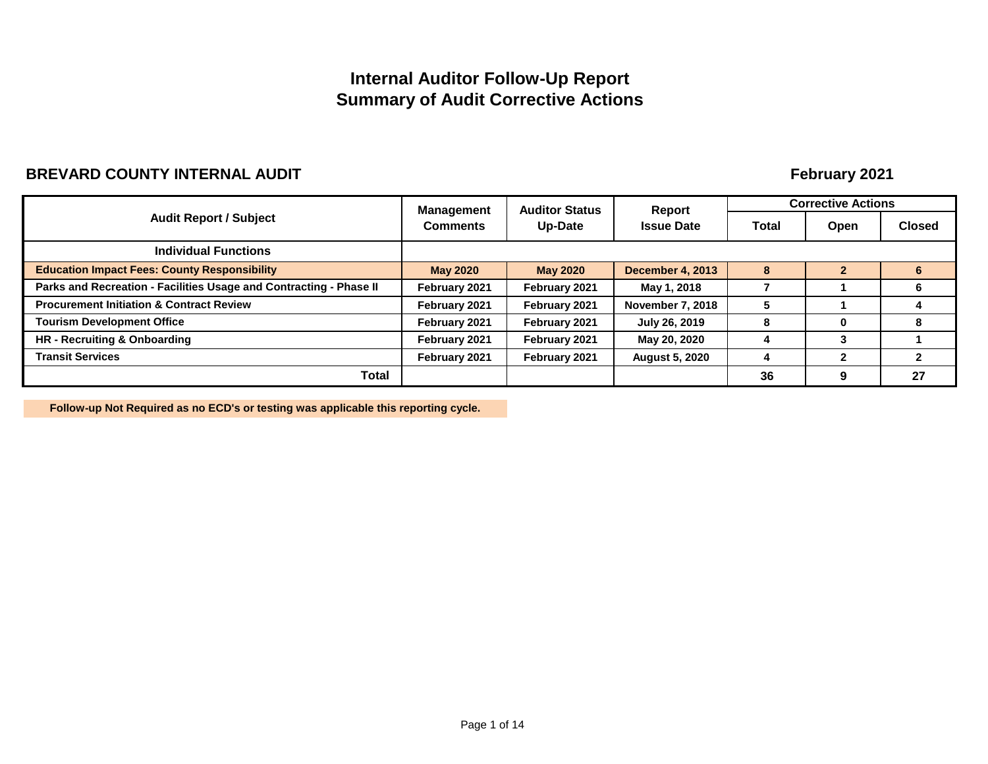# **Internal Auditor Follow-Up Report Summary of Audit Corrective Actions**

# **BREVARD COUNTY INTERNAL AUDIT**

# **February 2021**

|                                                                    |                                                                                                                                                                                                                      |                   | Report                  |      | <b>Corrective Actions</b> |    |
|--------------------------------------------------------------------|----------------------------------------------------------------------------------------------------------------------------------------------------------------------------------------------------------------------|-------------------|-------------------------|------|---------------------------|----|
| <b>Audit Report / Subject</b>                                      | <b>Auditor Status</b><br><b>Management</b><br>Up-Date<br><b>Comments</b><br><b>May 2020</b><br><b>May 2020</b><br>February 2021<br>February 2021<br>February 2021<br>February 2021<br>February 2021<br>February 2021 | <b>Issue Date</b> | Total                   | Open | <b>Closed</b>             |    |
| <b>Individual Functions</b>                                        |                                                                                                                                                                                                                      |                   |                         |      |                           |    |
| <b>Education Impact Fees: County Responsibility</b>                |                                                                                                                                                                                                                      |                   | <b>December 4, 2013</b> | 8    |                           |    |
| Parks and Recreation - Facilities Usage and Contracting - Phase II |                                                                                                                                                                                                                      |                   | May 1, 2018             |      |                           |    |
| <b>Procurement Initiation &amp; Contract Review</b>                |                                                                                                                                                                                                                      |                   | <b>November 7, 2018</b> | 5    |                           |    |
| <b>Tourism Development Office</b>                                  |                                                                                                                                                                                                                      |                   | July 26, 2019           | 8    | $\bf{0}$                  |    |
| HR - Recruiting & Onboarding                                       | February 2021                                                                                                                                                                                                        | February 2021     | May 20, 2020            |      | 3                         |    |
| <b>Transit Services</b>                                            | February 2021                                                                                                                                                                                                        | February 2021     | <b>August 5, 2020</b>   |      | 2                         |    |
| Total                                                              |                                                                                                                                                                                                                      |                   |                         | 36   | 9                         | 27 |

**Follow-up Not Required as no ECD's or testing was applicable this reporting cycle.**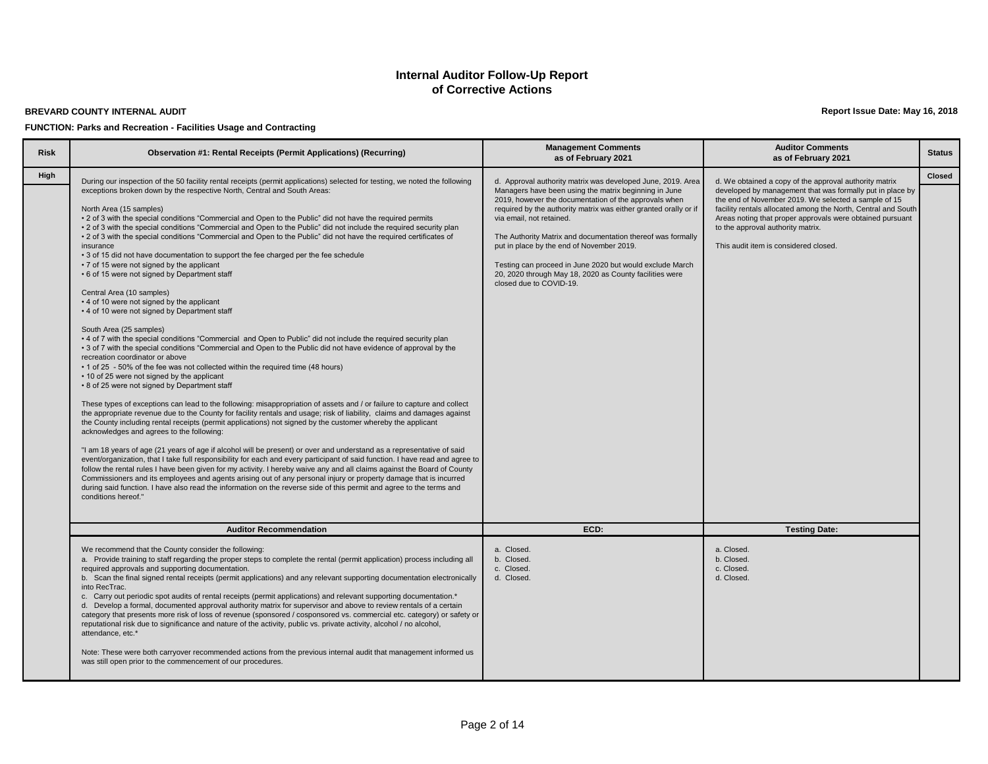#### **BREVARD COUNTY INTERNAL AUDIT**

**FUNCTION: Parks and Recreation - Facilities Usage and Contracting**

**Report Issue Date: May 16, 2018**

| <b>Risk</b> | <b>Observation #1: Rental Receipts (Permit Applications) (Recurring)</b>                                                                                                                                                                                                                                                                                                                                                                                                                                                                                                                                                                                                                                                                                                                                                                                                                                                                                                                                                                                                                                                                                                                                                                                                                                                                                                                                                                                                                                                                                                                                                                                                                                                                                                                                                                                                                                                                                                                                                                                                                                                                                                                                                                                                                                                                                                                                                                                                                           | <b>Management Comments</b><br>as of February 2021                                                                                                                                                                                                                                                                                                                                                                                                                                                                                           | <b>Auditor Comments</b><br>as of February 2021                                                                                                                                                                                                                                                                                                                                          | <b>Status</b> |
|-------------|----------------------------------------------------------------------------------------------------------------------------------------------------------------------------------------------------------------------------------------------------------------------------------------------------------------------------------------------------------------------------------------------------------------------------------------------------------------------------------------------------------------------------------------------------------------------------------------------------------------------------------------------------------------------------------------------------------------------------------------------------------------------------------------------------------------------------------------------------------------------------------------------------------------------------------------------------------------------------------------------------------------------------------------------------------------------------------------------------------------------------------------------------------------------------------------------------------------------------------------------------------------------------------------------------------------------------------------------------------------------------------------------------------------------------------------------------------------------------------------------------------------------------------------------------------------------------------------------------------------------------------------------------------------------------------------------------------------------------------------------------------------------------------------------------------------------------------------------------------------------------------------------------------------------------------------------------------------------------------------------------------------------------------------------------------------------------------------------------------------------------------------------------------------------------------------------------------------------------------------------------------------------------------------------------------------------------------------------------------------------------------------------------------------------------------------------------------------------------------------------------|---------------------------------------------------------------------------------------------------------------------------------------------------------------------------------------------------------------------------------------------------------------------------------------------------------------------------------------------------------------------------------------------------------------------------------------------------------------------------------------------------------------------------------------------|-----------------------------------------------------------------------------------------------------------------------------------------------------------------------------------------------------------------------------------------------------------------------------------------------------------------------------------------------------------------------------------------|---------------|
| High        | During our inspection of the 50 facility rental receipts (permit applications) selected for testing, we noted the following<br>exceptions broken down by the respective North, Central and South Areas:<br>North Area (15 samples)<br>• 2 of 3 with the special conditions "Commercial and Open to the Public" did not have the required permits<br>• 2 of 3 with the special conditions "Commercial and Open to the Public" did not include the required security plan<br>• 2 of 3 with the special conditions "Commercial and Open to the Public" did not have the required certificates of<br>insurance<br>• 3 of 15 did not have documentation to support the fee charged per the fee schedule<br>• 7 of 15 were not signed by the applicant<br>• 6 of 15 were not signed by Department staff<br>Central Area (10 samples)<br>• 4 of 10 were not signed by the applicant<br>• 4 of 10 were not signed by Department staff<br>South Area (25 samples)<br>• 4 of 7 with the special conditions "Commercial and Open to Public" did not include the required security plan<br>• 3 of 7 with the special conditions "Commercial and Open to the Public did not have evidence of approval by the<br>recreation coordinator or above<br>• 1 of 25 - 50% of the fee was not collected within the required time (48 hours)<br>• 10 of 25 were not signed by the applicant<br>• 8 of 25 were not signed by Department staff<br>These types of exceptions can lead to the following: misappropriation of assets and / or failure to capture and collect<br>the appropriate revenue due to the County for facility rentals and usage; risk of liability, claims and damages against<br>the County including rental receipts (permit applications) not signed by the customer whereby the applicant<br>acknowledges and agrees to the following:<br>"I am 18 years of age (21 years of age if alcohol will be present) or over and understand as a representative of said<br>event/organization, that I take full responsibility for each and every participant of said function. I have read and agree to<br>follow the rental rules I have been given for my activity. I hereby waive any and all claims against the Board of County<br>Commissioners and its employees and agents arising out of any personal injury or property damage that is incurred<br>during said function. I have also read the information on the reverse side of this permit and agree to the terms and<br>conditions hereof." | d. Approval authority matrix was developed June, 2019. Area<br>Managers have been using the matrix beginning in June<br>2019, however the documentation of the approvals when<br>required by the authority matrix was either granted orally or if<br>via email, not retained.<br>The Authority Matrix and documentation thereof was formally<br>put in place by the end of November 2019.<br>Testing can proceed in June 2020 but would exclude March<br>20, 2020 through May 18, 2020 as County facilities were<br>closed due to COVID-19. | d. We obtained a copy of the approval authority matrix<br>developed by management that was formally put in place by<br>the end of November 2019. We selected a sample of 15<br>facility rentals allocated among the North, Central and South<br>Areas noting that proper approvals were obtained pursuant<br>to the approval authority matrix.<br>This audit item is considered closed. | <b>Closed</b> |
|             | <b>Auditor Recommendation</b>                                                                                                                                                                                                                                                                                                                                                                                                                                                                                                                                                                                                                                                                                                                                                                                                                                                                                                                                                                                                                                                                                                                                                                                                                                                                                                                                                                                                                                                                                                                                                                                                                                                                                                                                                                                                                                                                                                                                                                                                                                                                                                                                                                                                                                                                                                                                                                                                                                                                      | ECD:                                                                                                                                                                                                                                                                                                                                                                                                                                                                                                                                        | <b>Testing Date:</b>                                                                                                                                                                                                                                                                                                                                                                    |               |
|             | We recommend that the County consider the following:<br>a. Provide training to staff regarding the proper steps to complete the rental (permit application) process including all<br>required approvals and supporting documentation.<br>b. Scan the final signed rental receipts (permit applications) and any relevant supporting documentation electronically<br>into RecTrac.<br>c. Carry out periodic spot audits of rental receipts (permit applications) and relevant supporting documentation.*<br>d. Develop a formal, documented approval authority matrix for supervisor and above to review rentals of a certain<br>category that presents more risk of loss of revenue (sponsored / cosponsored vs. commercial etc. category) or safety or<br>reputational risk due to significance and nature of the activity, public vs. private activity, alcohol / no alcohol,<br>attendance, etc.*<br>Note: These were both carryover recommended actions from the previous internal audit that management informed us<br>was still open prior to the commencement of our procedures.                                                                                                                                                                                                                                                                                                                                                                                                                                                                                                                                                                                                                                                                                                                                                                                                                                                                                                                                                                                                                                                                                                                                                                                                                                                                                                                                                                                                            | a. Closed.<br>b. Closed.<br>c. Closed.<br>d. Closed.                                                                                                                                                                                                                                                                                                                                                                                                                                                                                        | a. Closed.<br>b. Closed.<br>c. Closed.<br>d. Closed.                                                                                                                                                                                                                                                                                                                                    |               |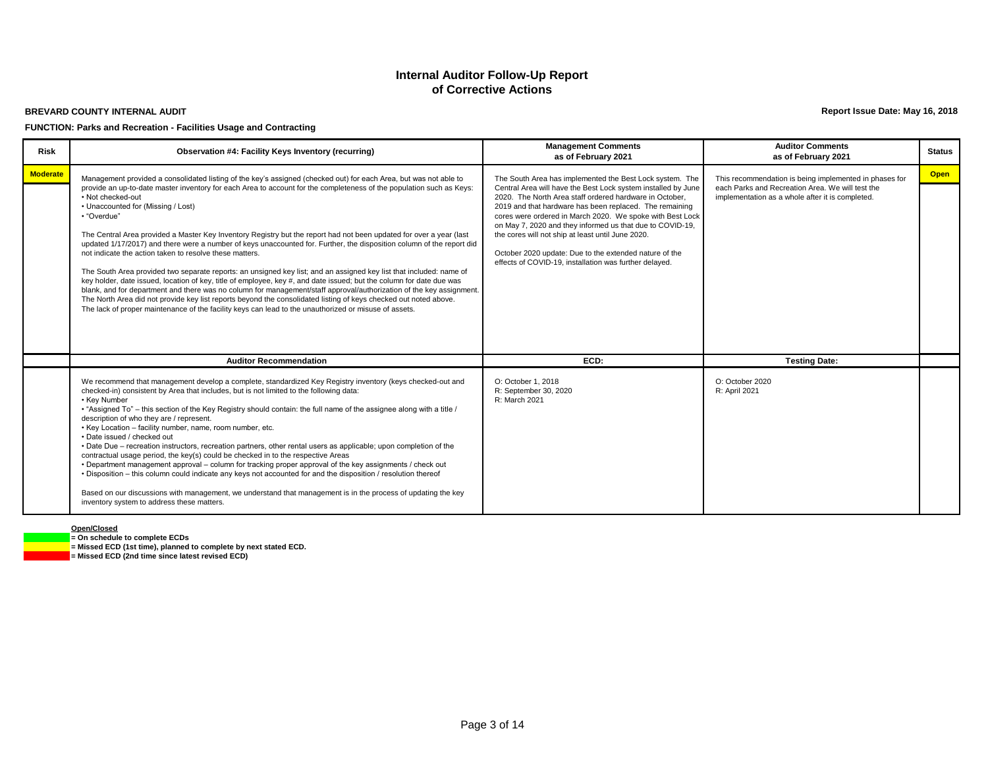#### **BREVARD COUNTY INTERNAL AUDIT**

#### **FUNCTION: Parks and Recreation - Facilities Usage and Contracting**

**Report Issue Date: May 16, 2018**

| <b>Risk</b>     | Observation #4: Facility Keys Inventory (recurring)                                                                                                                                                                                                                                                                                                                                                                                                                                                                                                                                                                                                                                                                                                                                                                                                                                                                                                                                                                                                                                                                                                                                                                                | <b>Management Comments</b><br>as of February 2021                                                                                                                                                                                                                                                                                                                                                                                                                                                                                                  | <b>Auditor Comments</b><br>as of February 2021                                                                                                                 | <b>Status</b> |
|-----------------|------------------------------------------------------------------------------------------------------------------------------------------------------------------------------------------------------------------------------------------------------------------------------------------------------------------------------------------------------------------------------------------------------------------------------------------------------------------------------------------------------------------------------------------------------------------------------------------------------------------------------------------------------------------------------------------------------------------------------------------------------------------------------------------------------------------------------------------------------------------------------------------------------------------------------------------------------------------------------------------------------------------------------------------------------------------------------------------------------------------------------------------------------------------------------------------------------------------------------------|----------------------------------------------------------------------------------------------------------------------------------------------------------------------------------------------------------------------------------------------------------------------------------------------------------------------------------------------------------------------------------------------------------------------------------------------------------------------------------------------------------------------------------------------------|----------------------------------------------------------------------------------------------------------------------------------------------------------------|---------------|
| <b>Moderate</b> | Management provided a consolidated listing of the key's assigned (checked out) for each Area, but was not able to<br>provide an up-to-date master inventory for each Area to account for the completeness of the population such as Keys:<br>• Not checked-out<br>• Unaccounted for (Missing / Lost)<br>• "Overdue"<br>The Central Area provided a Master Key Inventory Registry but the report had not been updated for over a year (last<br>updated 1/17/2017) and there were a number of keys unaccounted for. Further, the disposition column of the report did<br>not indicate the action taken to resolve these matters.<br>The South Area provided two separate reports: an unsigned key list; and an assigned key list that included: name of<br>key holder, date issued, location of key, title of employee, key #, and date issued; but the column for date due was<br>blank, and for department and there was no column for management/staff approval/authorization of the key assignment.<br>The North Area did not provide key list reports beyond the consolidated listing of keys checked out noted above.<br>The lack of proper maintenance of the facility keys can lead to the unauthorized or misuse of assets. | The South Area has implemented the Best Lock system. The<br>Central Area will have the Best Lock system installed by June<br>2020. The North Area staff ordered hardware in October,<br>2019 and that hardware has been replaced. The remaining<br>cores were ordered in March 2020. We spoke with Best Lock<br>on May 7, 2020 and they informed us that due to COVID-19,<br>the cores will not ship at least until June 2020.<br>October 2020 update: Due to the extended nature of the<br>effects of COVID-19, installation was further delayed. | This recommendation is being implemented in phases for<br>each Parks and Recreation Area. We will test the<br>implementation as a whole after it is completed. | <b>Open</b>   |
|                 | <b>Auditor Recommendation</b>                                                                                                                                                                                                                                                                                                                                                                                                                                                                                                                                                                                                                                                                                                                                                                                                                                                                                                                                                                                                                                                                                                                                                                                                      | ECD:                                                                                                                                                                                                                                                                                                                                                                                                                                                                                                                                               | <b>Testing Date:</b>                                                                                                                                           |               |
|                 | We recommend that management develop a complete, standardized Key Registry inventory (keys checked-out and<br>checked-in) consistent by Area that includes, but is not limited to the following data:<br>• Key Number<br>. "Assigned To" – this section of the Key Registry should contain: the full name of the assignee along with a title /<br>description of who they are / represent.<br>• Key Location - facility number, name, room number, etc.<br>. Date issued / checked out<br>• Date Due – recreation instructors, recreation partners, other rental users as applicable; upon completion of the<br>contractual usage period, the key(s) could be checked in to the respective Areas<br>. Department management approval – column for tracking proper approval of the key assignments / check out<br>. Disposition – this column could indicate any keys not accounted for and the disposition / resolution thereof<br>Based on our discussions with management, we understand that management is in the process of updating the key<br>inventory system to address these matters.                                                                                                                                     | O: October 1, 2018<br>R: September 30, 2020<br>R: March 2021                                                                                                                                                                                                                                                                                                                                                                                                                                                                                       | O: October 2020<br>R: April 2021                                                                                                                               |               |

#### **Open/Closed**

**= On schedule to complete ECDs = Missed ECD (1st time), planned to complete by next stated ECD. = Missed ECD (2nd time since latest revised ECD)**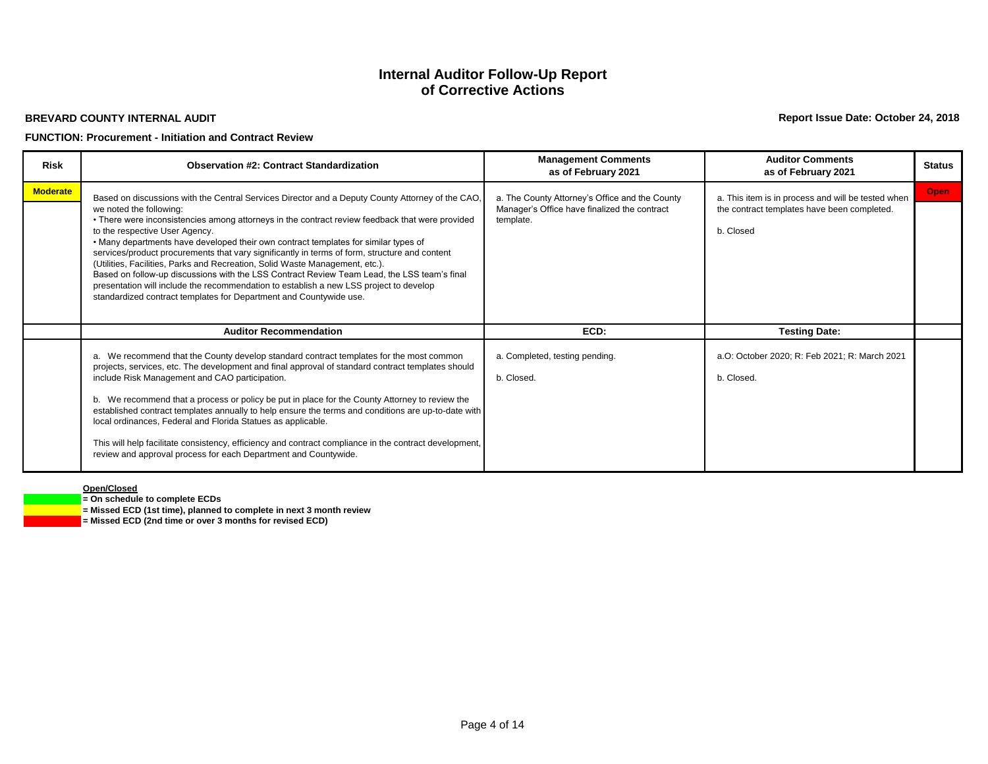#### **BREVARD COUNTY INTERNAL AUDIT**

## **FUNCTION: Procurement - Initiation and Contract Review**

**Report Issue Date: October 24, 2018**

| <b>Risk</b>     | <b>Observation #2: Contract Standardization</b>                                                                                                                                                                                                                                                                                                                                                                                                                                                                                                                                                                                                                                                                                                                                                         | <b>Management Comments</b><br>as of February 2021                                                           | <b>Auditor Comments</b><br>as of February 2021                                                                 | <b>Status</b> |
|-----------------|---------------------------------------------------------------------------------------------------------------------------------------------------------------------------------------------------------------------------------------------------------------------------------------------------------------------------------------------------------------------------------------------------------------------------------------------------------------------------------------------------------------------------------------------------------------------------------------------------------------------------------------------------------------------------------------------------------------------------------------------------------------------------------------------------------|-------------------------------------------------------------------------------------------------------------|----------------------------------------------------------------------------------------------------------------|---------------|
| <b>Moderate</b> | Based on discussions with the Central Services Director and a Deputy County Attorney of the CAO,<br>we noted the following:<br>• There were inconsistencies among attorneys in the contract review feedback that were provided<br>to the respective User Agency.<br>. Many departments have developed their own contract templates for similar types of<br>services/product procurements that vary significantly in terms of form, structure and content<br>(Utilities, Facilities, Parks and Recreation, Solid Waste Management, etc.).<br>Based on follow-up discussions with the LSS Contract Review Team Lead, the LSS team's final<br>presentation will include the recommendation to establish a new LSS project to develop<br>standardized contract templates for Department and Countywide use. | a. The County Attorney's Office and the County<br>Manager's Office have finalized the contract<br>template. | a. This item is in process and will be tested when<br>the contract templates have been completed.<br>b. Closed | <b>Open</b>   |
|                 | <b>Auditor Recommendation</b>                                                                                                                                                                                                                                                                                                                                                                                                                                                                                                                                                                                                                                                                                                                                                                           | ECD:                                                                                                        | <b>Testing Date:</b>                                                                                           |               |
|                 | a. We recommend that the County develop standard contract templates for the most common<br>projects, services, etc. The development and final approval of standard contract templates should<br>include Risk Management and CAO participation.<br>b. We recommend that a process or policy be put in place for the County Attorney to review the<br>established contract templates annually to help ensure the terms and conditions are up-to-date with<br>local ordinances, Federal and Florida Statues as applicable.<br>This will help facilitate consistency, efficiency and contract compliance in the contract development,<br>review and approval process for each Department and Countywide.                                                                                                    | a. Completed, testing pending.<br>b. Closed.                                                                | a.O: October 2020; R: Feb 2021; R: March 2021<br>b. Closed.                                                    |               |

#### **Open/Closed**

**= On schedule to complete ECDs**

**= Missed ECD (1st time), planned to complete in next 3 month review**

**= Missed ECD (2nd time or over 3 months for revised ECD)**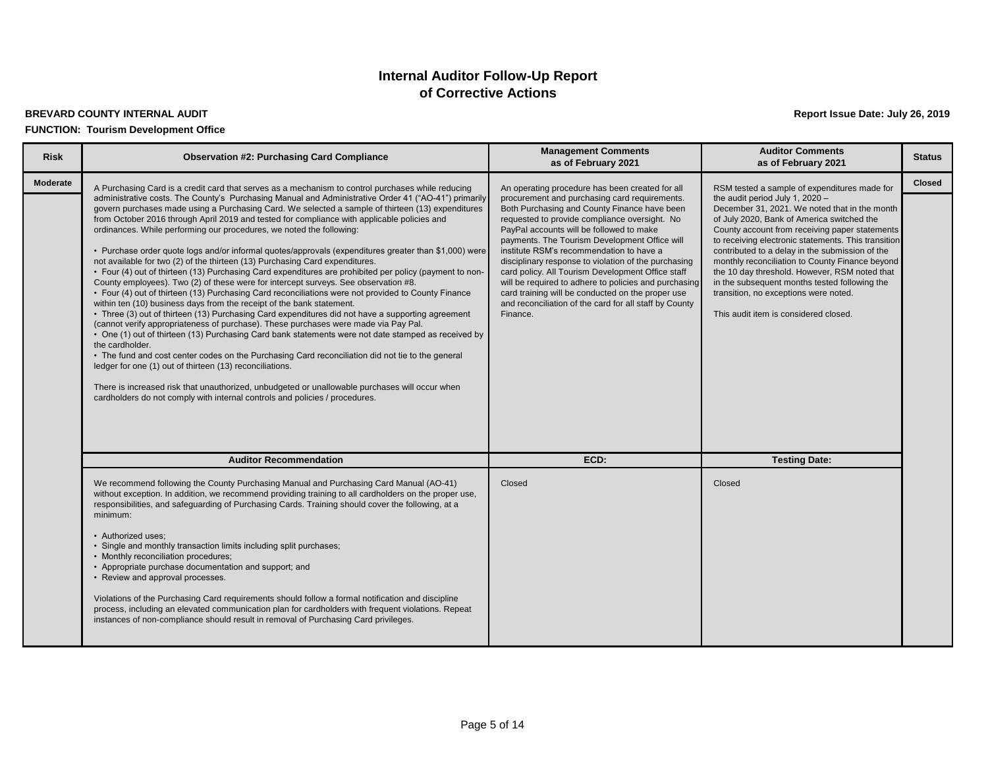## **BREVARD COUNTY INTERNAL AUDIT Report Issue Date: July 26, 2019 FUNCTION: Tourism Development Office**

| <b>Risk</b> | <b>Observation #2: Purchasing Card Compliance</b>                                                                                                                                                                                                                                                                                                                                                                                                                                                                                                                                                                                                                                                                                                                                                                                                                                                                                                                                                                                                                                                                                                                                                                                                                                                                                                                                                                                                                                                                                                                                                                                                                                                                                        | <b>Management Comments</b><br>as of February 2021                                                                                                                                                                                                                                                                                                                                                                                                                                                                                                                                                                                           | <b>Auditor Comments</b><br>as of February 2021                                                                                                                                                                                                                                                                                                                                                                                                                                                                                                                                    | <b>Status</b> |
|-------------|------------------------------------------------------------------------------------------------------------------------------------------------------------------------------------------------------------------------------------------------------------------------------------------------------------------------------------------------------------------------------------------------------------------------------------------------------------------------------------------------------------------------------------------------------------------------------------------------------------------------------------------------------------------------------------------------------------------------------------------------------------------------------------------------------------------------------------------------------------------------------------------------------------------------------------------------------------------------------------------------------------------------------------------------------------------------------------------------------------------------------------------------------------------------------------------------------------------------------------------------------------------------------------------------------------------------------------------------------------------------------------------------------------------------------------------------------------------------------------------------------------------------------------------------------------------------------------------------------------------------------------------------------------------------------------------------------------------------------------------|---------------------------------------------------------------------------------------------------------------------------------------------------------------------------------------------------------------------------------------------------------------------------------------------------------------------------------------------------------------------------------------------------------------------------------------------------------------------------------------------------------------------------------------------------------------------------------------------------------------------------------------------|-----------------------------------------------------------------------------------------------------------------------------------------------------------------------------------------------------------------------------------------------------------------------------------------------------------------------------------------------------------------------------------------------------------------------------------------------------------------------------------------------------------------------------------------------------------------------------------|---------------|
| Moderate    | A Purchasing Card is a credit card that serves as a mechanism to control purchases while reducing<br>administrative costs. The County's Purchasing Manual and Administrative Order 41 ("AO-41") primarily<br>govern purchases made using a Purchasing Card. We selected a sample of thirteen (13) expenditures<br>from October 2016 through April 2019 and tested for compliance with applicable policies and<br>ordinances. While performing our procedures, we noted the following:<br>• Purchase order quote logs and/or informal quotes/approvals (expenditures greater than \$1,000) were<br>not available for two (2) of the thirteen (13) Purchasing Card expenditures.<br>• Four (4) out of thirteen (13) Purchasing Card expenditures are prohibited per policy (payment to non-<br>County employees). Two (2) of these were for intercept surveys. See observation #8.<br>• Four (4) out of thirteen (13) Purchasing Card reconciliations were not provided to County Finance<br>within ten (10) business days from the receipt of the bank statement.<br>• Three (3) out of thirteen (13) Purchasing Card expenditures did not have a supporting agreement<br>(cannot verify appropriateness of purchase). These purchases were made via Pay Pal.<br>• One (1) out of thirteen (13) Purchasing Card bank statements were not date stamped as received by<br>the cardholder.<br>• The fund and cost center codes on the Purchasing Card reconciliation did not tie to the general<br>ledger for one (1) out of thirteen (13) reconciliations.<br>There is increased risk that unauthorized, unbudgeted or unallowable purchases will occur when<br>cardholders do not comply with internal controls and policies / procedures. | An operating procedure has been created for all<br>procurement and purchasing card requirements.<br>Both Purchasing and County Finance have been<br>requested to provide compliance oversight. No<br>PayPal accounts will be followed to make<br>payments. The Tourism Development Office will<br>institute RSM's recommendation to have a<br>disciplinary response to violation of the purchasing<br>card policy. All Tourism Development Office staff<br>will be required to adhere to policies and purchasing<br>card training will be conducted on the proper use<br>and reconciliation of the card for all staff by County<br>Finance. | RSM tested a sample of expenditures made for<br>the audit period July 1, 2020 -<br>December 31, 2021. We noted that in the month<br>of July 2020, Bank of America switched the<br>County account from receiving paper statements<br>to receiving electronic statements. This transition<br>contributed to a delay in the submission of the<br>monthly reconciliation to County Finance beyond<br>the 10 day threshold. However, RSM noted that<br>in the subsequent months tested following the<br>transition, no exceptions were noted.<br>This audit item is considered closed. | <b>Closed</b> |
|             | <b>Auditor Recommendation</b>                                                                                                                                                                                                                                                                                                                                                                                                                                                                                                                                                                                                                                                                                                                                                                                                                                                                                                                                                                                                                                                                                                                                                                                                                                                                                                                                                                                                                                                                                                                                                                                                                                                                                                            | ECD:                                                                                                                                                                                                                                                                                                                                                                                                                                                                                                                                                                                                                                        | <b>Testing Date:</b>                                                                                                                                                                                                                                                                                                                                                                                                                                                                                                                                                              |               |
|             | We recommend following the County Purchasing Manual and Purchasing Card Manual (AO-41)<br>without exception. In addition, we recommend providing training to all cardholders on the proper use,<br>responsibilities, and safeguarding of Purchasing Cards. Training should cover the following, at a<br>minimum:<br>• Authorized uses:<br>• Single and monthly transaction limits including split purchases;<br>• Monthly reconciliation procedures;<br>• Appropriate purchase documentation and support; and<br>• Review and approval processes.<br>Violations of the Purchasing Card requirements should follow a formal notification and discipline<br>process, including an elevated communication plan for cardholders with frequent violations. Repeat<br>instances of non-compliance should result in removal of Purchasing Card privileges.                                                                                                                                                                                                                                                                                                                                                                                                                                                                                                                                                                                                                                                                                                                                                                                                                                                                                      | Closed                                                                                                                                                                                                                                                                                                                                                                                                                                                                                                                                                                                                                                      | Closed                                                                                                                                                                                                                                                                                                                                                                                                                                                                                                                                                                            |               |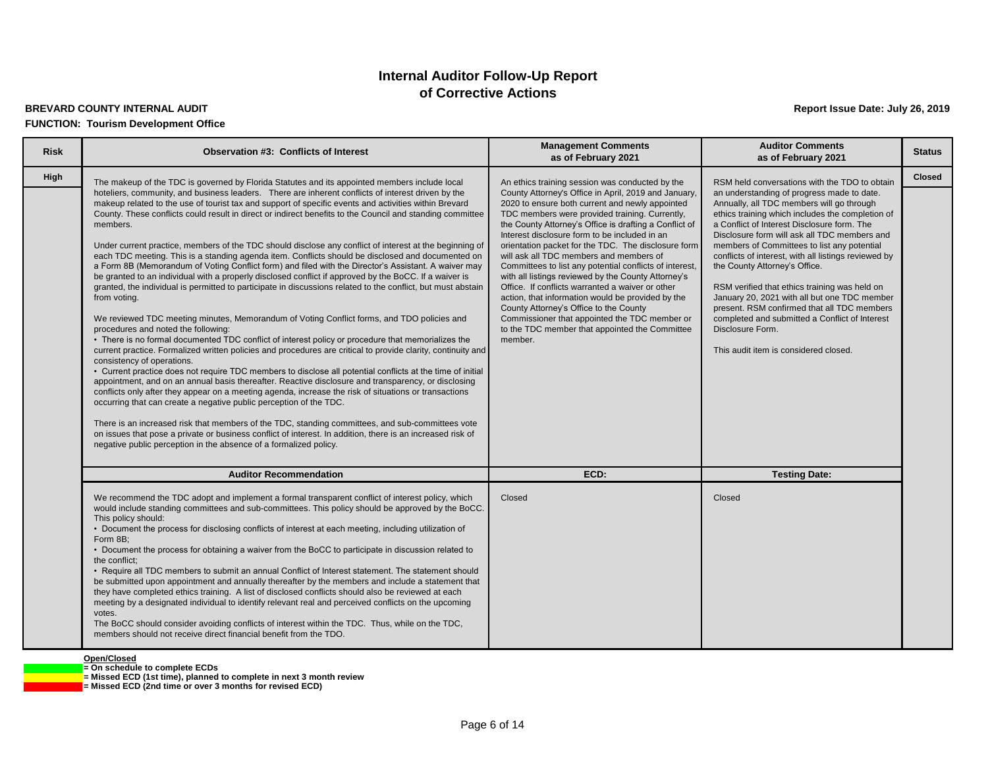## **of Corrective Actions Internal Auditor Follow-Up Report**

#### **BREVARD COUNTY INTERNAL AUDIT Report Issue Date: July 26, 2019**

#### **FUNCTION: Tourism Development Office**

| <b>Risk</b> | <b>Observation #3: Conflicts of Interest</b>                                                                                                                                                                                                                                                                                                                                                                                                                                                                                                                                                                                                                                                                                                                                                                                                                                                                                                                                                                                                                                                                                                                                                                                                                                                                                                                                                                                                                                                                                                                                                                                                                                                                                                                                                                                                                                                                                                                                               | <b>Management Comments</b><br>as of February 2021                                                                                                                                                                                                                                                                                                                                                                                                                                                                                                                                                                                                                                                                                                         | <b>Auditor Comments</b><br>as of February 2021                                                                                                                                                                                                                                                                                                                                                                                                                                                                                                                                                                                                    | <b>Status</b> |
|-------------|--------------------------------------------------------------------------------------------------------------------------------------------------------------------------------------------------------------------------------------------------------------------------------------------------------------------------------------------------------------------------------------------------------------------------------------------------------------------------------------------------------------------------------------------------------------------------------------------------------------------------------------------------------------------------------------------------------------------------------------------------------------------------------------------------------------------------------------------------------------------------------------------------------------------------------------------------------------------------------------------------------------------------------------------------------------------------------------------------------------------------------------------------------------------------------------------------------------------------------------------------------------------------------------------------------------------------------------------------------------------------------------------------------------------------------------------------------------------------------------------------------------------------------------------------------------------------------------------------------------------------------------------------------------------------------------------------------------------------------------------------------------------------------------------------------------------------------------------------------------------------------------------------------------------------------------------------------------------------------------------|-----------------------------------------------------------------------------------------------------------------------------------------------------------------------------------------------------------------------------------------------------------------------------------------------------------------------------------------------------------------------------------------------------------------------------------------------------------------------------------------------------------------------------------------------------------------------------------------------------------------------------------------------------------------------------------------------------------------------------------------------------------|---------------------------------------------------------------------------------------------------------------------------------------------------------------------------------------------------------------------------------------------------------------------------------------------------------------------------------------------------------------------------------------------------------------------------------------------------------------------------------------------------------------------------------------------------------------------------------------------------------------------------------------------------|---------------|
| High        | The makeup of the TDC is governed by Florida Statutes and its appointed members include local                                                                                                                                                                                                                                                                                                                                                                                                                                                                                                                                                                                                                                                                                                                                                                                                                                                                                                                                                                                                                                                                                                                                                                                                                                                                                                                                                                                                                                                                                                                                                                                                                                                                                                                                                                                                                                                                                              | An ethics training session was conducted by the                                                                                                                                                                                                                                                                                                                                                                                                                                                                                                                                                                                                                                                                                                           | RSM held conversations with the TDO to obtain                                                                                                                                                                                                                                                                                                                                                                                                                                                                                                                                                                                                     | <b>Closed</b> |
|             | hoteliers, community, and business leaders. There are inherent conflicts of interest driven by the<br>makeup related to the use of tourist tax and support of specific events and activities within Brevard<br>County. These conflicts could result in direct or indirect benefits to the Council and standing committee<br>members.<br>Under current practice, members of the TDC should disclose any conflict of interest at the beginning of<br>each TDC meeting. This is a standing agenda item. Conflicts should be disclosed and documented on<br>a Form 8B (Memorandum of Voting Conflict form) and filed with the Director's Assistant. A waiver may<br>be granted to an individual with a properly disclosed conflict if approved by the BoCC. If a waiver is<br>granted, the individual is permitted to participate in discussions related to the conflict, but must abstain<br>from voting.<br>We reviewed TDC meeting minutes, Memorandum of Voting Conflict forms, and TDO policies and<br>procedures and noted the following:<br>• There is no formal documented TDC conflict of interest policy or procedure that memorializes the<br>current practice. Formalized written policies and procedures are critical to provide clarity, continuity and<br>consistency of operations.<br>• Current practice does not require TDC members to disclose all potential conflicts at the time of initial<br>appointment, and on an annual basis thereafter. Reactive disclosure and transparency, or disclosing<br>conflicts only after they appear on a meeting agenda, increase the risk of situations or transactions<br>occurring that can create a negative public perception of the TDC.<br>There is an increased risk that members of the TDC, standing committees, and sub-committees vote<br>on issues that pose a private or business conflict of interest. In addition, there is an increased risk of<br>negative public perception in the absence of a formalized policy. | County Attorney's Office in April, 2019 and January,<br>2020 to ensure both current and newly appointed<br>TDC members were provided training. Currently,<br>the County Attorney's Office is drafting a Conflict of<br>Interest disclosure form to be included in an<br>orientation packet for the TDC. The disclosure form<br>will ask all TDC members and members of<br>Committees to list any potential conflicts of interest,<br>with all listings reviewed by the County Attorney's<br>Office. If conflicts warranted a waiver or other<br>action, that information would be provided by the<br>County Attorney's Office to the County<br>Commissioner that appointed the TDC member or<br>to the TDC member that appointed the Committee<br>member. | an understanding of progress made to date.<br>Annually, all TDC members will go through<br>ethics training which includes the completion of<br>a Conflict of Interest Disclosure form. The<br>Disclosure form will ask all TDC members and<br>members of Committees to list any potential<br>conflicts of interest, with all listings reviewed by<br>the County Attorney's Office.<br>RSM verified that ethics training was held on<br>January 20, 2021 with all but one TDC member<br>present. RSM confirmed that all TDC members<br>completed and submitted a Conflict of Interest<br>Disclosure Form.<br>This audit item is considered closed. |               |
|             | <b>Auditor Recommendation</b>                                                                                                                                                                                                                                                                                                                                                                                                                                                                                                                                                                                                                                                                                                                                                                                                                                                                                                                                                                                                                                                                                                                                                                                                                                                                                                                                                                                                                                                                                                                                                                                                                                                                                                                                                                                                                                                                                                                                                              | ECD:                                                                                                                                                                                                                                                                                                                                                                                                                                                                                                                                                                                                                                                                                                                                                      | <b>Testing Date:</b>                                                                                                                                                                                                                                                                                                                                                                                                                                                                                                                                                                                                                              |               |
|             | We recommend the TDC adopt and implement a formal transparent conflict of interest policy, which<br>would include standing committees and sub-committees. This policy should be approved by the BoCC.<br>This policy should:<br>• Document the process for disclosing conflicts of interest at each meeting, including utilization of<br>Form 8B:<br>• Document the process for obtaining a waiver from the BoCC to participate in discussion related to<br>the conflict:<br>• Require all TDC members to submit an annual Conflict of Interest statement. The statement should<br>be submitted upon appointment and annually thereafter by the members and include a statement that<br>they have completed ethics training. A list of disclosed conflicts should also be reviewed at each<br>meeting by a designated individual to identify relevant real and perceived conflicts on the upcoming<br>votes.<br>The BoCC should consider avoiding conflicts of interest within the TDC. Thus, while on the TDC,<br>members should not receive direct financial benefit from the TDO.                                                                                                                                                                                                                                                                                                                                                                                                                                                                                                                                                                                                                                                                                                                                                                                                                                                                                                       | Closed                                                                                                                                                                                                                                                                                                                                                                                                                                                                                                                                                                                                                                                                                                                                                    | Closed                                                                                                                                                                                                                                                                                                                                                                                                                                                                                                                                                                                                                                            |               |

**Open/Closed = On schedule to complete ECDs = Missed ECD (1st time), planned to complete in next 3 month review = Missed ECD (2nd time or over 3 months for revised ECD)**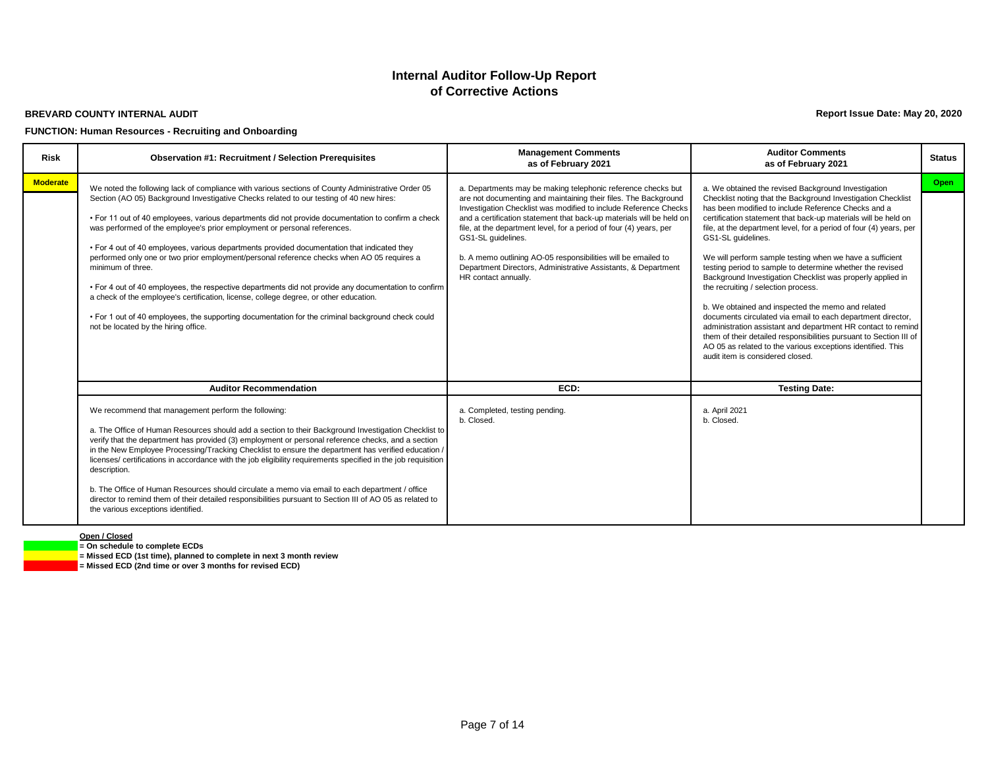#### **BREVARD COUNTY INTERNAL AUDIT**

#### **FUNCTION: Human Resources - Recruiting and Onboarding**

**Report Issue Date: May 20, 2020**

| <b>Risk</b>     | <b>Observation #1: Recruitment / Selection Prerequisites</b>                                                                                                                                                                                                                                                                                                                                                                                                                                                                                                                                                                                                                                                                                                                                                                                                                                                                                   | <b>Management Comments</b><br>as of February 2021                                                                                                                                                                                                                                                                                                                                                                                                                                                                                 | <b>Auditor Comments</b><br>as of February 2021                                                                                                                                                                                                                                                                                                                                                                                                                                                                                                                                                                                                                                                                                                                                                                                                                                                                                      | <b>Status</b> |
|-----------------|------------------------------------------------------------------------------------------------------------------------------------------------------------------------------------------------------------------------------------------------------------------------------------------------------------------------------------------------------------------------------------------------------------------------------------------------------------------------------------------------------------------------------------------------------------------------------------------------------------------------------------------------------------------------------------------------------------------------------------------------------------------------------------------------------------------------------------------------------------------------------------------------------------------------------------------------|-----------------------------------------------------------------------------------------------------------------------------------------------------------------------------------------------------------------------------------------------------------------------------------------------------------------------------------------------------------------------------------------------------------------------------------------------------------------------------------------------------------------------------------|-------------------------------------------------------------------------------------------------------------------------------------------------------------------------------------------------------------------------------------------------------------------------------------------------------------------------------------------------------------------------------------------------------------------------------------------------------------------------------------------------------------------------------------------------------------------------------------------------------------------------------------------------------------------------------------------------------------------------------------------------------------------------------------------------------------------------------------------------------------------------------------------------------------------------------------|---------------|
| <b>Moderate</b> | We noted the following lack of compliance with various sections of County Administrative Order 05<br>Section (AO 05) Background Investigative Checks related to our testing of 40 new hires:<br>• For 11 out of 40 employees, various departments did not provide documentation to confirm a check<br>was performed of the employee's prior employment or personal references.<br>• For 4 out of 40 employees, various departments provided documentation that indicated they<br>performed only one or two prior employment/personal reference checks when AO 05 requires a<br>minimum of three.<br>• For 4 out of 40 employees, the respective departments did not provide any documentation to confirm<br>a check of the employee's certification, license, college degree, or other education.<br>• For 1 out of 40 employees, the supporting documentation for the criminal background check could<br>not be located by the hiring office. | a. Departments may be making telephonic reference checks but<br>are not documenting and maintaining their files. The Background<br>Investigation Checklist was modified to include Reference Checks<br>and a certification statement that back-up materials will be held on<br>file, at the department level, for a period of four (4) years, per<br>GS1-SL quidelines.<br>b. A memo outlining AO-05 responsibilities will be emailed to<br>Department Directors, Administrative Assistants, & Department<br>HR contact annually. | a. We obtained the revised Background Investigation<br>Checklist noting that the Background Investigation Checklist<br>has been modified to include Reference Checks and a<br>certification statement that back-up materials will be held on<br>file, at the department level, for a period of four (4) years, per<br>GS1-SL quidelines.<br>We will perform sample testing when we have a sufficient<br>testing period to sample to determine whether the revised<br>Background Investigation Checklist was properly applied in<br>the recruiting / selection process.<br>b. We obtained and inspected the memo and related<br>documents circulated via email to each department director,<br>administration assistant and department HR contact to remind<br>them of their detailed responsibilities pursuant to Section III of<br>AO 05 as related to the various exceptions identified. This<br>audit item is considered closed. | Open          |
|                 | <b>Auditor Recommendation</b><br>We recommend that management perform the following:<br>a. The Office of Human Resources should add a section to their Background Investigation Checklist to<br>verify that the department has provided (3) employment or personal reference checks, and a section<br>in the New Employee Processing/Tracking Checklist to ensure the department has verified education /<br>licenses/ certifications in accordance with the job eligibility requirements specified in the job requisition<br>description.<br>b. The Office of Human Resources should circulate a memo via email to each department / office<br>director to remind them of their detailed responsibilities pursuant to Section III of AO 05 as related to<br>the various exceptions identified.                                                                                                                                                | ECD:<br>a. Completed, testing pending.<br>b. Closed.                                                                                                                                                                                                                                                                                                                                                                                                                                                                              | <b>Testing Date:</b><br>a. April 2021<br>b. Closed.                                                                                                                                                                                                                                                                                                                                                                                                                                                                                                                                                                                                                                                                                                                                                                                                                                                                                 |               |

**Open / Closed = On schedule to complete ECDs**

**= Missed ECD (1st time), planned to complete in next 3 month review = Missed ECD (2nd time or over 3 months for revised ECD)**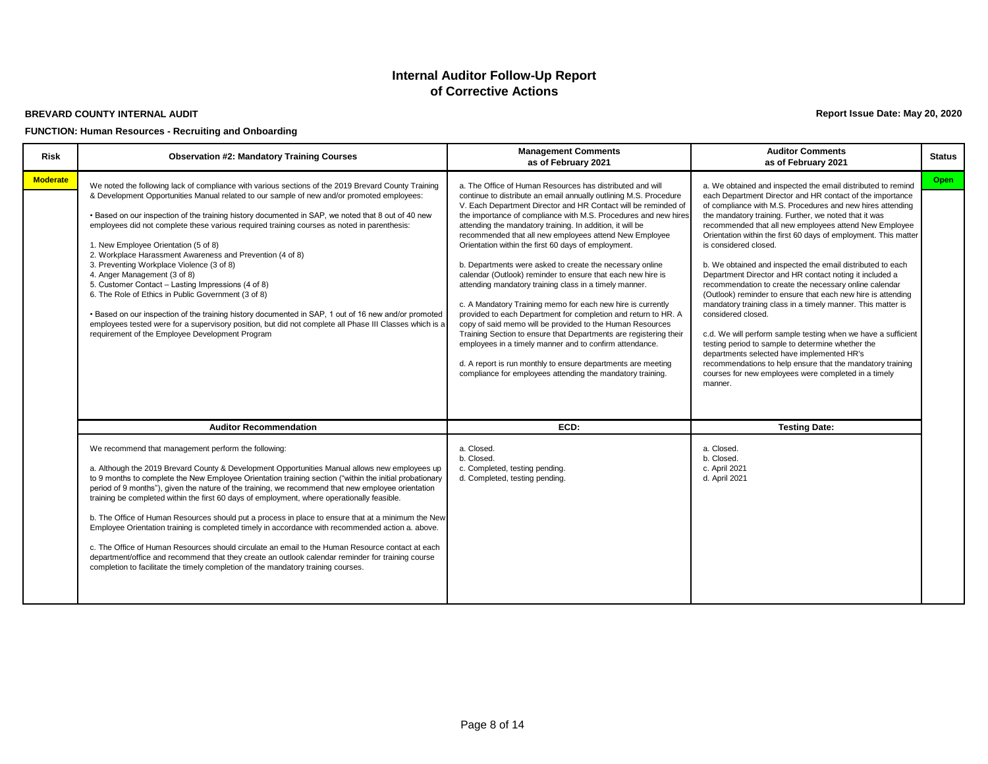#### **BREVARD COUNTY INTERNAL AUDIT**

#### **FUNCTION: Human Resources - Recruiting and Onboarding**

**Report Issue Date: May 20, 2020**

| <b>Risk</b>     | <b>Observation #2: Mandatory Training Courses</b>                                                                                                                                                                                                                                                                                                                                                                                                                                                                                                                                                                                                                                                                                                                                                                                                                                                                                                                              | <b>Management Comments</b><br>as of February 2021                                                                                                                                                                                                                                                                                                                                                                                                                                                                                                                                                                                                                                                                                                                                                                                                                                                                                                                                                                                                                                                  | <b>Auditor Comments</b><br>as of February 2021                                                                                                                                                                                                                                                                                                                                                                                                                                                                                                                                                                                                                                                                                                                                                                                                                                                                                                                                                                                                      | <b>Status</b> |
|-----------------|--------------------------------------------------------------------------------------------------------------------------------------------------------------------------------------------------------------------------------------------------------------------------------------------------------------------------------------------------------------------------------------------------------------------------------------------------------------------------------------------------------------------------------------------------------------------------------------------------------------------------------------------------------------------------------------------------------------------------------------------------------------------------------------------------------------------------------------------------------------------------------------------------------------------------------------------------------------------------------|----------------------------------------------------------------------------------------------------------------------------------------------------------------------------------------------------------------------------------------------------------------------------------------------------------------------------------------------------------------------------------------------------------------------------------------------------------------------------------------------------------------------------------------------------------------------------------------------------------------------------------------------------------------------------------------------------------------------------------------------------------------------------------------------------------------------------------------------------------------------------------------------------------------------------------------------------------------------------------------------------------------------------------------------------------------------------------------------------|-----------------------------------------------------------------------------------------------------------------------------------------------------------------------------------------------------------------------------------------------------------------------------------------------------------------------------------------------------------------------------------------------------------------------------------------------------------------------------------------------------------------------------------------------------------------------------------------------------------------------------------------------------------------------------------------------------------------------------------------------------------------------------------------------------------------------------------------------------------------------------------------------------------------------------------------------------------------------------------------------------------------------------------------------------|---------------|
| <b>Moderate</b> | We noted the following lack of compliance with various sections of the 2019 Brevard County Training<br>& Development Opportunities Manual related to our sample of new and/or promoted employees:<br>. Based on our inspection of the training history documented in SAP, we noted that 8 out of 40 new<br>employees did not complete these various required training courses as noted in parenthesis:<br>1. New Employee Orientation (5 of 8)<br>2. Workplace Harassment Awareness and Prevention (4 of 8)<br>3. Preventing Workplace Violence (3 of 8)<br>4. Anger Management (3 of 8)<br>5. Customer Contact - Lasting Impressions (4 of 8)<br>6. The Role of Ethics in Public Government (3 of 8)<br>• Based on our inspection of the training history documented in SAP, 1 out of 16 new and/or promoted<br>employees tested were for a supervisory position, but did not complete all Phase III Classes which is a<br>requirement of the Employee Development Program    | a. The Office of Human Resources has distributed and will<br>continue to distribute an email annually outlining M.S. Procedure<br>V. Each Department Director and HR Contact will be reminded of<br>the importance of compliance with M.S. Procedures and new hires<br>attending the mandatory training. In addition, it will be<br>recommended that all new employees attend New Employee<br>Orientation within the first 60 days of employment.<br>b. Departments were asked to create the necessary online<br>calendar (Outlook) reminder to ensure that each new hire is<br>attending mandatory training class in a timely manner.<br>c. A Mandatory Training memo for each new hire is currently<br>provided to each Department for completion and return to HR. A<br>copy of said memo will be provided to the Human Resources<br>Training Section to ensure that Departments are registering their<br>employees in a timely manner and to confirm attendance.<br>d. A report is run monthly to ensure departments are meeting<br>compliance for employees attending the mandatory training. | a. We obtained and inspected the email distributed to remind<br>each Department Director and HR contact of the importance<br>of compliance with M.S. Procedures and new hires attending<br>the mandatory training. Further, we noted that it was<br>recommended that all new employees attend New Employee<br>Orientation within the first 60 days of employment. This matter<br>is considered closed.<br>b. We obtained and inspected the email distributed to each<br>Department Director and HR contact noting it included a<br>recommendation to create the necessary online calendar<br>(Outlook) reminder to ensure that each new hire is attending<br>mandatory training class in a timely manner. This matter is<br>considered closed.<br>c.d. We will perform sample testing when we have a sufficient<br>testing period to sample to determine whether the<br>departments selected have implemented HR's<br>recommendations to help ensure that the mandatory training<br>courses for new employees were completed in a timely<br>manner. | Open          |
|                 | <b>Auditor Recommendation</b>                                                                                                                                                                                                                                                                                                                                                                                                                                                                                                                                                                                                                                                                                                                                                                                                                                                                                                                                                  | ECD:                                                                                                                                                                                                                                                                                                                                                                                                                                                                                                                                                                                                                                                                                                                                                                                                                                                                                                                                                                                                                                                                                               | <b>Testing Date:</b>                                                                                                                                                                                                                                                                                                                                                                                                                                                                                                                                                                                                                                                                                                                                                                                                                                                                                                                                                                                                                                |               |
|                 | We recommend that management perform the following:<br>a. Although the 2019 Brevard County & Development Opportunities Manual allows new employees up<br>to 9 months to complete the New Employee Orientation training section ("within the initial probationary<br>period of 9 months"), given the nature of the training, we recommend that new employee orientation<br>training be completed within the first 60 days of employment, where operationally feasible.<br>b. The Office of Human Resources should put a process in place to ensure that at a minimum the New<br>Employee Orientation training is completed timely in accordance with recommended action a. above.<br>c. The Office of Human Resources should circulate an email to the Human Resource contact at each<br>department/office and recommend that they create an outlook calendar reminder for training course<br>completion to facilitate the timely completion of the mandatory training courses. | a. Closed.<br>b. Closed.<br>c. Completed, testing pending.<br>d. Completed, testing pending.                                                                                                                                                                                                                                                                                                                                                                                                                                                                                                                                                                                                                                                                                                                                                                                                                                                                                                                                                                                                       | a. Closed.<br>b. Closed.<br>c. April 2021<br>d. April 2021                                                                                                                                                                                                                                                                                                                                                                                                                                                                                                                                                                                                                                                                                                                                                                                                                                                                                                                                                                                          |               |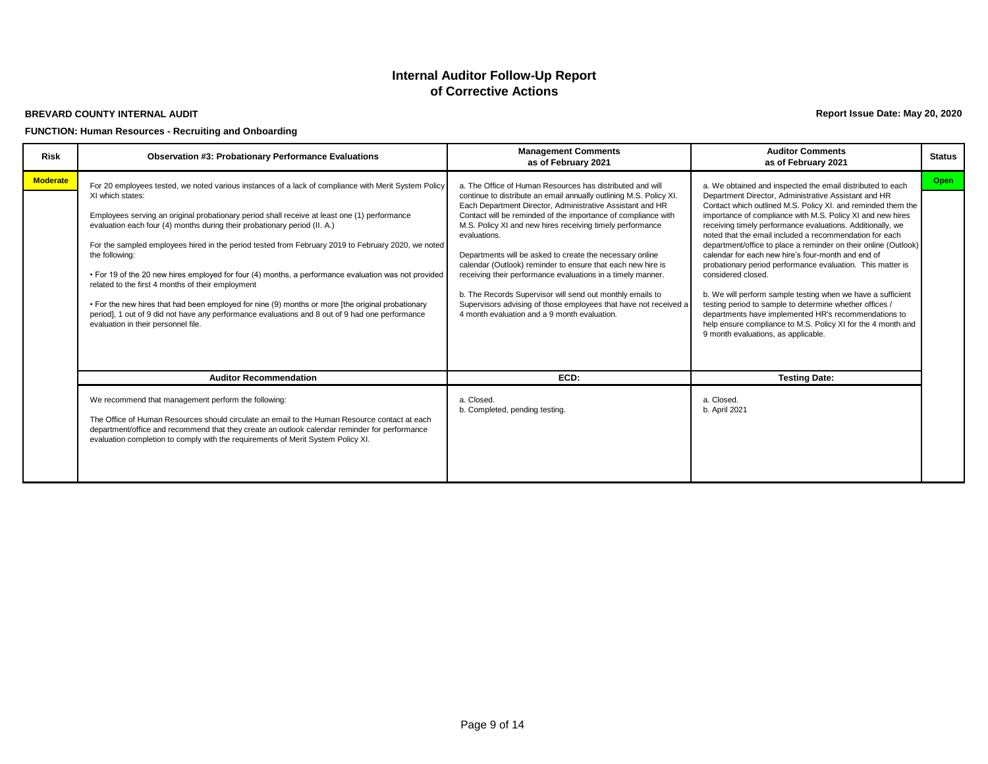#### **BREVARD COUNTY INTERNAL AUDIT**

#### **FUNCTION: Human Resources - Recruiting and Onboarding**

**Report Issue Date: May 20, 2020**

| <b>Risk</b>     | <b>Observation #3: Probationary Performance Evaluations</b>                                                                                                                                                                                                                                                                                                                                                                                                                                                                                                                                                                                                                                                                                                                                                                               | <b>Management Comments</b><br>as of February 2021                                                                                                                                                                                                                                                                                                                                                                                                                                                                                                                                                                                                                                                                     | <b>Auditor Comments</b><br>as of February 2021                                                                                                                                                                                                                                                                                                                                                                                                                                                                                                                                                                                                                                                                                                                                                                                                                                  | <b>Status</b> |
|-----------------|-------------------------------------------------------------------------------------------------------------------------------------------------------------------------------------------------------------------------------------------------------------------------------------------------------------------------------------------------------------------------------------------------------------------------------------------------------------------------------------------------------------------------------------------------------------------------------------------------------------------------------------------------------------------------------------------------------------------------------------------------------------------------------------------------------------------------------------------|-----------------------------------------------------------------------------------------------------------------------------------------------------------------------------------------------------------------------------------------------------------------------------------------------------------------------------------------------------------------------------------------------------------------------------------------------------------------------------------------------------------------------------------------------------------------------------------------------------------------------------------------------------------------------------------------------------------------------|---------------------------------------------------------------------------------------------------------------------------------------------------------------------------------------------------------------------------------------------------------------------------------------------------------------------------------------------------------------------------------------------------------------------------------------------------------------------------------------------------------------------------------------------------------------------------------------------------------------------------------------------------------------------------------------------------------------------------------------------------------------------------------------------------------------------------------------------------------------------------------|---------------|
| <b>Moderate</b> | For 20 employees tested, we noted various instances of a lack of compliance with Merit System Policy<br>XI which states:<br>Employees serving an original probationary period shall receive at least one (1) performance<br>evaluation each four (4) months during their probationary period (II. A.)<br>For the sampled employees hired in the period tested from February 2019 to February 2020, we noted<br>the following:<br>• For 19 of the 20 new hires employed for four (4) months, a performance evaluation was not provided<br>related to the first 4 months of their employment<br>• For the new hires that had been employed for nine (9) months or more [the original probationary<br>period], 1 out of 9 did not have any performance evaluations and 8 out of 9 had one performance<br>evaluation in their personnel file. | a. The Office of Human Resources has distributed and will<br>continue to distribute an email annually outlining M.S. Policy XI.<br>Each Department Director, Administrative Assistant and HR<br>Contact will be reminded of the importance of compliance with<br>M.S. Policy XI and new hires receiving timely performance<br>evaluations.<br>Departments will be asked to create the necessary online<br>calendar (Outlook) reminder to ensure that each new hire is<br>receiving their performance evaluations in a timely manner.<br>b. The Records Supervisor will send out monthly emails to<br>Supervisors advising of those employees that have not received a<br>4 month evaluation and a 9 month evaluation. | a. We obtained and inspected the email distributed to each<br>Department Director, Administrative Assistant and HR<br>Contact which outlined M.S. Policy XI. and reminded them the<br>importance of compliance with M.S. Policy XI and new hires<br>receiving timely performance evaluations. Additionally, we<br>noted that the email included a recommendation for each<br>department/office to place a reminder on their online (Outlook)<br>calendar for each new hire's four-month and end of<br>probationary period performance evaluation. This matter is<br>considered closed.<br>b. We will perform sample testing when we have a sufficient<br>testing period to sample to determine whether offices /<br>departments have implemented HR's recommendations to<br>help ensure compliance to M.S. Policy XI for the 4 month and<br>9 month evaluations, as applicable. | Open          |
|                 | <b>Auditor Recommendation</b>                                                                                                                                                                                                                                                                                                                                                                                                                                                                                                                                                                                                                                                                                                                                                                                                             | ECD:                                                                                                                                                                                                                                                                                                                                                                                                                                                                                                                                                                                                                                                                                                                  | <b>Testing Date:</b>                                                                                                                                                                                                                                                                                                                                                                                                                                                                                                                                                                                                                                                                                                                                                                                                                                                            |               |
|                 | We recommend that management perform the following:<br>The Office of Human Resources should circulate an email to the Human Resource contact at each<br>department/office and recommend that they create an outlook calendar reminder for performance<br>evaluation completion to comply with the requirements of Merit System Policy XI.                                                                                                                                                                                                                                                                                                                                                                                                                                                                                                 | a. Closed.<br>b. Completed, pending testing.                                                                                                                                                                                                                                                                                                                                                                                                                                                                                                                                                                                                                                                                          | a. Closed.<br>b. April 2021                                                                                                                                                                                                                                                                                                                                                                                                                                                                                                                                                                                                                                                                                                                                                                                                                                                     |               |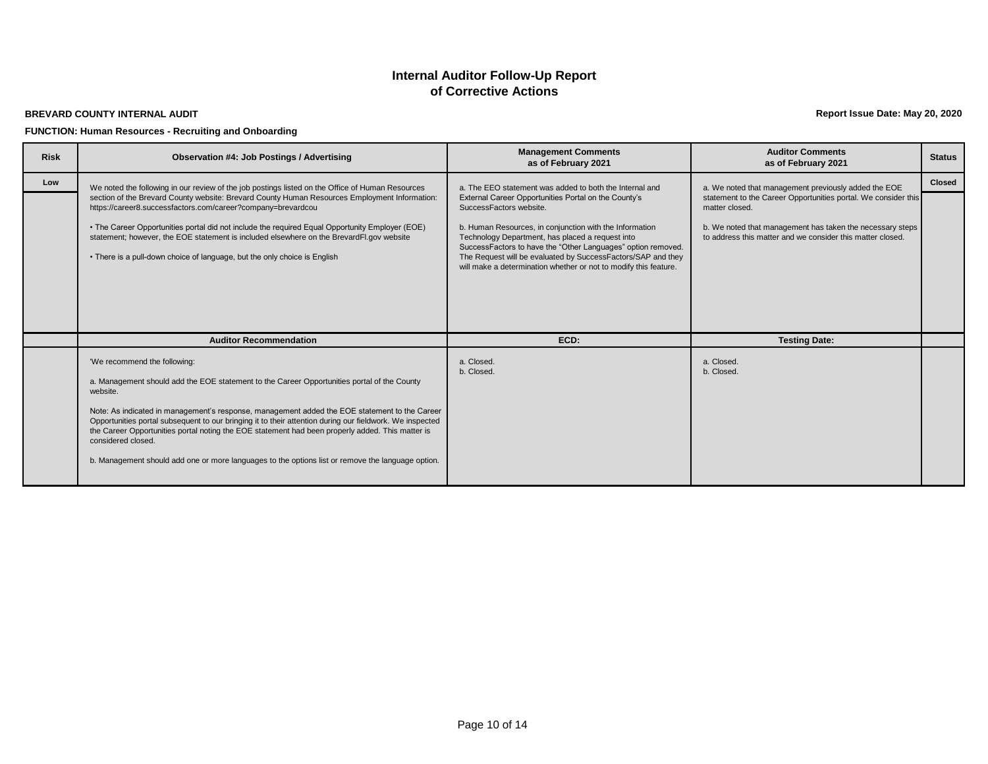#### **BREVARD COUNTY INTERNAL AUDIT**

#### **FUNCTION: Human Resources - Recruiting and Onboarding**

**Report Issue Date: May 20, 2020**

| <b>Risk</b> | <b>Observation #4: Job Postings / Advertising</b>                                                                                                                                                                                                                                                                                                                                                                                                                                                                                                                                   | <b>Management Comments</b><br>as of February 2021                                                                                                                                                                                                                                                                                                                                                  | <b>Auditor Comments</b><br>as of February 2021                                                                                                                                                              | <b>Status</b> |
|-------------|-------------------------------------------------------------------------------------------------------------------------------------------------------------------------------------------------------------------------------------------------------------------------------------------------------------------------------------------------------------------------------------------------------------------------------------------------------------------------------------------------------------------------------------------------------------------------------------|----------------------------------------------------------------------------------------------------------------------------------------------------------------------------------------------------------------------------------------------------------------------------------------------------------------------------------------------------------------------------------------------------|-------------------------------------------------------------------------------------------------------------------------------------------------------------------------------------------------------------|---------------|
| Low         | We noted the following in our review of the job postings listed on the Office of Human Resources                                                                                                                                                                                                                                                                                                                                                                                                                                                                                    | a. The EEO statement was added to both the Internal and                                                                                                                                                                                                                                                                                                                                            | a. We noted that management previously added the EOE                                                                                                                                                        | <b>Closed</b> |
|             | section of the Brevard County website: Brevard County Human Resources Employment Information:<br>https://career8.successfactors.com/career?company=brevardcou<br>. The Career Opportunities portal did not include the required Equal Opportunity Employer (EOE)<br>statement; however, the EOE statement is included elsewhere on the BrevardFl.gov website<br>• There is a pull-down choice of language, but the only choice is English                                                                                                                                           | External Career Opportunities Portal on the County's<br>SuccessFactors website.<br>b. Human Resources, in conjunction with the Information<br>Technology Department, has placed a request into<br>SuccessFactors to have the "Other Languages" option removed.<br>The Request will be evaluated by SuccessFactors/SAP and they<br>will make a determination whether or not to modify this feature. | statement to the Career Opportunities portal. We consider this<br>matter closed.<br>b. We noted that management has taken the necessary steps<br>to address this matter and we consider this matter closed. |               |
|             | <b>Auditor Recommendation</b>                                                                                                                                                                                                                                                                                                                                                                                                                                                                                                                                                       | ECD:                                                                                                                                                                                                                                                                                                                                                                                               | <b>Testing Date:</b>                                                                                                                                                                                        |               |
|             | 'We recommend the following:<br>a. Management should add the EOE statement to the Career Opportunities portal of the County<br>website.<br>Note: As indicated in management's response, management added the EOE statement to the Career<br>Opportunities portal subsequent to our bringing it to their attention during our fieldwork. We inspected<br>the Career Opportunities portal noting the EOE statement had been properly added. This matter is<br>considered closed.<br>b. Management should add one or more languages to the options list or remove the language option. | a. Closed.<br>b. Closed.                                                                                                                                                                                                                                                                                                                                                                           | a. Closed.<br>b. Closed.                                                                                                                                                                                    |               |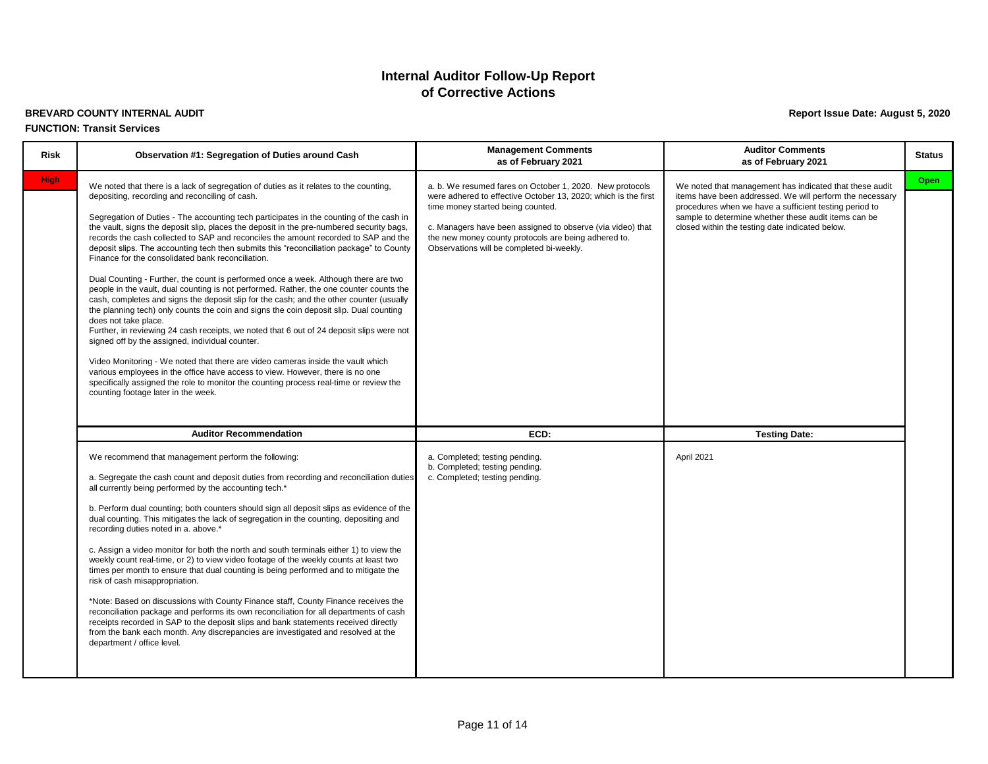# **BREVARD COUNTY INTERNAL AUDIT Report Issue Date: August 5, 2020**

#### **FUNCTION: Transit Services**

| <b>Risk</b> | Observation #1: Segregation of Duties around Cash                                                                                                                                                                                                                                                                                                                                                                                                                                                                                                                                                                                                                                                                                                                                                                                                                                                                                                                                                                                                                                                                                                                                                                                                                                                                                                                                                                        | <b>Management Comments</b><br>as of February 2021                                                                                                                                                                                                                                                                                  | <b>Auditor Comments</b><br>as of February 2021                                                                                                                                                                                                                                           | <b>Status</b> |
|-------------|--------------------------------------------------------------------------------------------------------------------------------------------------------------------------------------------------------------------------------------------------------------------------------------------------------------------------------------------------------------------------------------------------------------------------------------------------------------------------------------------------------------------------------------------------------------------------------------------------------------------------------------------------------------------------------------------------------------------------------------------------------------------------------------------------------------------------------------------------------------------------------------------------------------------------------------------------------------------------------------------------------------------------------------------------------------------------------------------------------------------------------------------------------------------------------------------------------------------------------------------------------------------------------------------------------------------------------------------------------------------------------------------------------------------------|------------------------------------------------------------------------------------------------------------------------------------------------------------------------------------------------------------------------------------------------------------------------------------------------------------------------------------|------------------------------------------------------------------------------------------------------------------------------------------------------------------------------------------------------------------------------------------------------------------------------------------|---------------|
| <b>High</b> | We noted that there is a lack of segregation of duties as it relates to the counting,<br>depositing, recording and reconciling of cash.<br>Segregation of Duties - The accounting tech participates in the counting of the cash in<br>the vault, signs the deposit slip, places the deposit in the pre-numbered security bags,<br>records the cash collected to SAP and reconciles the amount recorded to SAP and the<br>deposit slips. The accounting tech then submits this "reconciliation package" to County<br>Finance for the consolidated bank reconciliation.<br>Dual Counting - Further, the count is performed once a week. Although there are two<br>people in the vault, dual counting is not performed. Rather, the one counter counts the<br>cash, completes and signs the deposit slip for the cash; and the other counter (usually<br>the planning tech) only counts the coin and signs the coin deposit slip. Dual counting<br>does not take place.<br>Further, in reviewing 24 cash receipts, we noted that 6 out of 24 deposit slips were not<br>signed off by the assigned, individual counter.<br>Video Monitoring - We noted that there are video cameras inside the vault which<br>various employees in the office have access to view. However, there is no one<br>specifically assigned the role to monitor the counting process real-time or review the<br>counting footage later in the week. | a. b. We resumed fares on October 1, 2020. New protocols<br>were adhered to effective October 13, 2020; which is the first<br>time money started being counted.<br>c. Managers have been assigned to observe (via video) that<br>the new money county protocols are being adhered to.<br>Observations will be completed bi-weekly. | We noted that management has indicated that these audit<br>items have been addressed. We will perform the necessary<br>procedures when we have a sufficient testing period to<br>sample to determine whether these audit items can be<br>closed within the testing date indicated below. | <b>Open</b>   |
|             | <b>Auditor Recommendation</b>                                                                                                                                                                                                                                                                                                                                                                                                                                                                                                                                                                                                                                                                                                                                                                                                                                                                                                                                                                                                                                                                                                                                                                                                                                                                                                                                                                                            | ECD:                                                                                                                                                                                                                                                                                                                               | <b>Testing Date:</b>                                                                                                                                                                                                                                                                     |               |
|             | We recommend that management perform the following:<br>a. Segregate the cash count and deposit duties from recording and reconciliation duties<br>all currently being performed by the accounting tech.*<br>b. Perform dual counting; both counters should sign all deposit slips as evidence of the<br>dual counting. This mitigates the lack of segregation in the counting, depositing and<br>recording duties noted in a. above.*<br>c. Assign a video monitor for both the north and south terminals either 1) to view the<br>weekly count real-time, or 2) to view video footage of the weekly counts at least two<br>times per month to ensure that dual counting is being performed and to mitigate the<br>risk of cash misappropriation.<br>*Note: Based on discussions with County Finance staff, County Finance receives the<br>reconciliation package and performs its own reconciliation for all departments of cash<br>receipts recorded in SAP to the deposit slips and bank statements received directly<br>from the bank each month. Any discrepancies are investigated and resolved at the<br>department / office level.                                                                                                                                                                                                                                                                               | a. Completed; testing pending.<br>b. Completed; testing pending.<br>c. Completed; testing pending.                                                                                                                                                                                                                                 | April 2021                                                                                                                                                                                                                                                                               |               |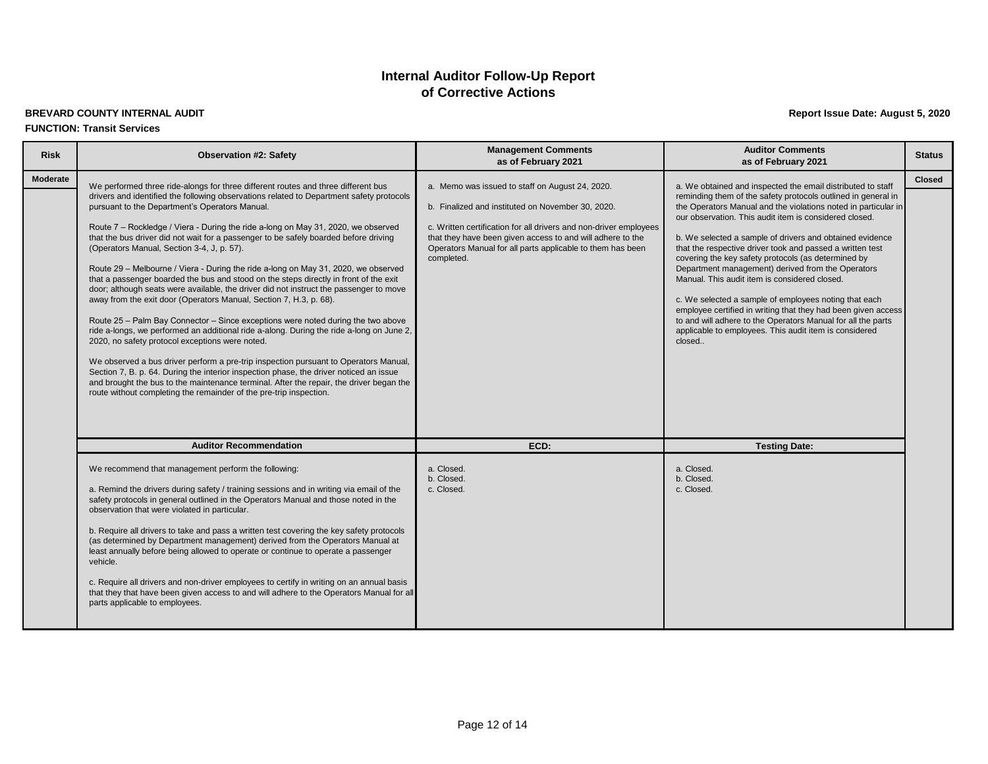#### **BREVARD COUNTY INTERNAL AUDIT Report Issue Date: August 5, 2020 FUNCTION: Transit Services**

| <b>Risk</b>     | <b>Observation #2: Safety</b>                                                                                                                                                                                                                                                                                                                                                                                                                                                                                                                                                                                                                                                                                                                                                                                                                                                                                                                                                                                                                                                                                                                                                                                                                                                                                                                                                                   | <b>Management Comments</b><br>as of February 2021                                                                                                                                                                                                                                                                   | <b>Auditor Comments</b><br>as of February 2021                                                                                                                                                                                                                                                                                                                                                                                                                                                                                                                                                                                                                                                                                                                                                               | <b>Status</b> |
|-----------------|-------------------------------------------------------------------------------------------------------------------------------------------------------------------------------------------------------------------------------------------------------------------------------------------------------------------------------------------------------------------------------------------------------------------------------------------------------------------------------------------------------------------------------------------------------------------------------------------------------------------------------------------------------------------------------------------------------------------------------------------------------------------------------------------------------------------------------------------------------------------------------------------------------------------------------------------------------------------------------------------------------------------------------------------------------------------------------------------------------------------------------------------------------------------------------------------------------------------------------------------------------------------------------------------------------------------------------------------------------------------------------------------------|---------------------------------------------------------------------------------------------------------------------------------------------------------------------------------------------------------------------------------------------------------------------------------------------------------------------|--------------------------------------------------------------------------------------------------------------------------------------------------------------------------------------------------------------------------------------------------------------------------------------------------------------------------------------------------------------------------------------------------------------------------------------------------------------------------------------------------------------------------------------------------------------------------------------------------------------------------------------------------------------------------------------------------------------------------------------------------------------------------------------------------------------|---------------|
| <b>Moderate</b> | We performed three ride-alongs for three different routes and three different bus<br>drivers and identified the following observations related to Department safety protocols<br>pursuant to the Department's Operators Manual.<br>Route 7 – Rockledge / Viera - During the ride a-long on May 31, 2020, we observed<br>that the bus driver did not wait for a passenger to be safely boarded before driving<br>(Operators Manual, Section 3-4, J, p. 57).<br>Route 29 - Melbourne / Viera - During the ride a-long on May 31, 2020, we observed<br>that a passenger boarded the bus and stood on the steps directly in front of the exit<br>door; although seats were available, the driver did not instruct the passenger to move<br>away from the exit door (Operators Manual, Section 7, H.3, p. 68).<br>Route 25 - Palm Bay Connector - Since exceptions were noted during the two above<br>ride a-longs, we performed an additional ride a-along. During the ride a-long on June 2,<br>2020, no safety protocol exceptions were noted.<br>We observed a bus driver perform a pre-trip inspection pursuant to Operators Manual,<br>Section 7, B. p. 64. During the interior inspection phase, the driver noticed an issue<br>and brought the bus to the maintenance terminal. After the repair, the driver began the<br>route without completing the remainder of the pre-trip inspection. | a. Memo was issued to staff on August 24, 2020.<br>b. Finalized and instituted on November 30, 2020.<br>c. Written certification for all drivers and non-driver employees<br>that they have been given access to and will adhere to the<br>Operators Manual for all parts applicable to them has been<br>completed. | a. We obtained and inspected the email distributed to staff<br>reminding them of the safety protocols outlined in general in<br>the Operators Manual and the violations noted in particular in<br>our observation. This audit item is considered closed.<br>b. We selected a sample of drivers and obtained evidence<br>that the respective driver took and passed a written test<br>covering the key safety protocols (as determined by<br>Department management) derived from the Operators<br>Manual. This audit item is considered closed.<br>c. We selected a sample of employees noting that each<br>employee certified in writing that they had been given access<br>to and will adhere to the Operators Manual for all the parts<br>applicable to employees. This audit item is considered<br>closed | <b>Closed</b> |
|                 | <b>Auditor Recommendation</b>                                                                                                                                                                                                                                                                                                                                                                                                                                                                                                                                                                                                                                                                                                                                                                                                                                                                                                                                                                                                                                                                                                                                                                                                                                                                                                                                                                   | ECD:                                                                                                                                                                                                                                                                                                                | <b>Testing Date:</b>                                                                                                                                                                                                                                                                                                                                                                                                                                                                                                                                                                                                                                                                                                                                                                                         |               |
|                 | We recommend that management perform the following:<br>a. Remind the drivers during safety / training sessions and in writing via email of the<br>safety protocols in general outlined in the Operators Manual and those noted in the<br>observation that were violated in particular.<br>b. Require all drivers to take and pass a written test covering the key safety protocols<br>(as determined by Department management) derived from the Operators Manual at<br>least annually before being allowed to operate or continue to operate a passenger<br>vehicle.<br>c. Require all drivers and non-driver employees to certify in writing on an annual basis<br>that they that have been given access to and will adhere to the Operators Manual for all<br>parts applicable to employees.                                                                                                                                                                                                                                                                                                                                                                                                                                                                                                                                                                                                  | a. Closed.<br>b. Closed.<br>c. Closed.                                                                                                                                                                                                                                                                              | a. Closed.<br>b. Closed.<br>c. Closed.                                                                                                                                                                                                                                                                                                                                                                                                                                                                                                                                                                                                                                                                                                                                                                       |               |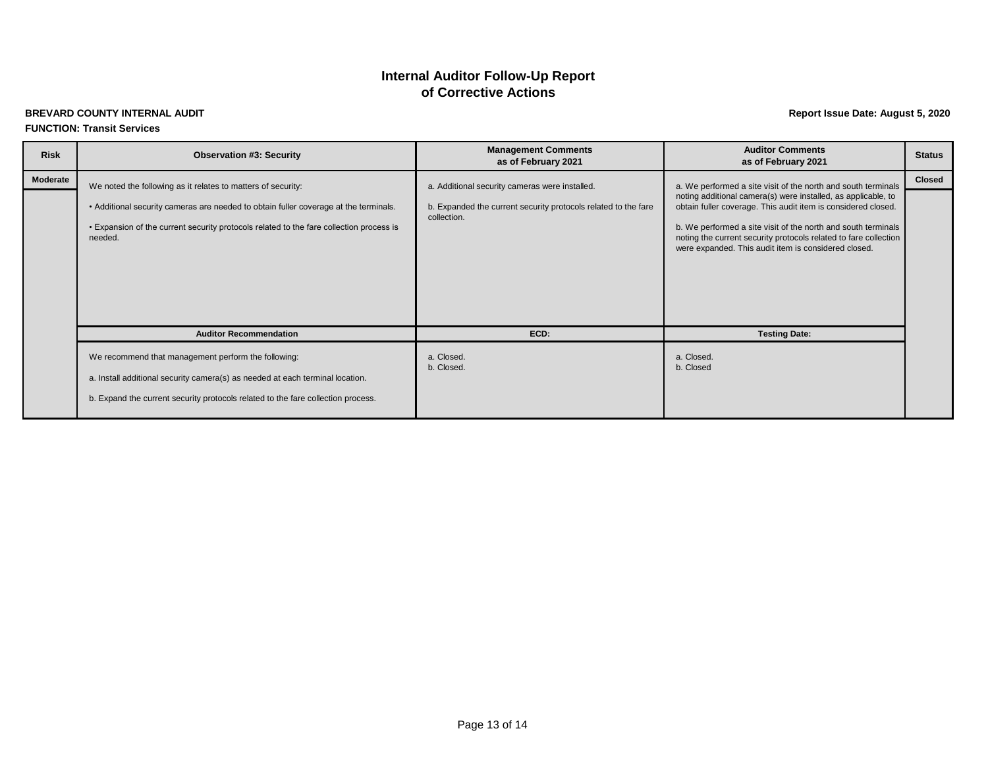## **of Corrective Actions Internal Auditor Follow-Up Report**

#### **BREVARD COUNTY INTERNAL AUDIT Report Issue Date: August 5, 2020 FUNCTION: Transit Services**

| <b>Risk</b> | <b>Observation #3: Security</b>                                                                                                                                                                                                                            | <b>Management Comments</b><br>as of February 2021                                                                               | <b>Auditor Comments</b><br>as of February 2021                                                                                                                                                                                                                                                                                                                                               | <b>Status</b> |
|-------------|------------------------------------------------------------------------------------------------------------------------------------------------------------------------------------------------------------------------------------------------------------|---------------------------------------------------------------------------------------------------------------------------------|----------------------------------------------------------------------------------------------------------------------------------------------------------------------------------------------------------------------------------------------------------------------------------------------------------------------------------------------------------------------------------------------|---------------|
| Moderate    | We noted the following as it relates to matters of security:<br>• Additional security cameras are needed to obtain fuller coverage at the terminals.<br>• Expansion of the current security protocols related to the fare collection process is<br>needed. | a. Additional security cameras were installed.<br>b. Expanded the current security protocols related to the fare<br>collection. | a. We performed a site visit of the north and south terminals<br>noting additional camera(s) were installed, as applicable, to<br>obtain fuller coverage. This audit item is considered closed.<br>b. We performed a site visit of the north and south terminals<br>noting the current security protocols related to fare collection<br>were expanded. This audit item is considered closed. | <b>Closed</b> |
|             | <b>Auditor Recommendation</b>                                                                                                                                                                                                                              | ECD:                                                                                                                            | <b>Testing Date:</b>                                                                                                                                                                                                                                                                                                                                                                         |               |
|             | We recommend that management perform the following:<br>a. Install additional security camera(s) as needed at each terminal location.<br>b. Expand the current security protocols related to the fare collection process.                                   | a. Closed.<br>b. Closed.                                                                                                        | a. Closed.<br>b. Closed                                                                                                                                                                                                                                                                                                                                                                      |               |